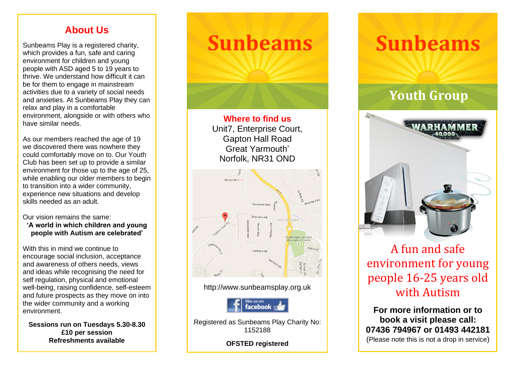#### **About Us**

Sunbeams Play is a registered charity, which provides a fun, safe and caring environment for children and young people with ASD aged 5 to 19 years to thrive. We understand how difficult it can be for them to engage in mainstream activities due to a variety of social needs and anxieties. At Sunbeams Play they can relax and play in a comfortable environment, alongside or with others who have similar needs.

As our members reached the age of 19 we discovered there was nowhere they could comfortably move on to. Our Youth Club has been set up to provide a similar environment for those up to the age of 25, while enabling our older members to begin to transition into a wider community, experience new situations and develop skills needed as an adult.

Our vision remains the same:

**'A world in which children and young people with Autism are celebrated'**

With this in mind we continue to encourage social inclusion, acceptance and awareness of others needs, views and ideas while recognising the need for self regulation, physical and emotional well-being, raising confidence, self-esteem and future prospects as they move on into the wider community and a working environment.

**Sessions run on Tuesdays 5.30-8.30 £10 per session Refreshments available**

## **Sunbeams**

**Where to find us** Unit7, Enterprise Court, Gapton Hall Road Great Yarmouth' Norfolk, NR31 OND



#### http://www.sunbeamsplay.org.uk



Registered as Sunbeams Play Charity No: 1152188

**OFSTED registered** 

# **Sunbeams**

### **Youth Group**



A fun and safe environment for young envn omnent for young with Autism **book a visit please call:** A fun and safe environment for young people 16-25 years old

**07436 794967 or 01493 442181 book a visit please call:** (Please note this is not a drop in service) **07436 794967 or 01493 442181 For more information or to**  (Please note this is not a drop in service)